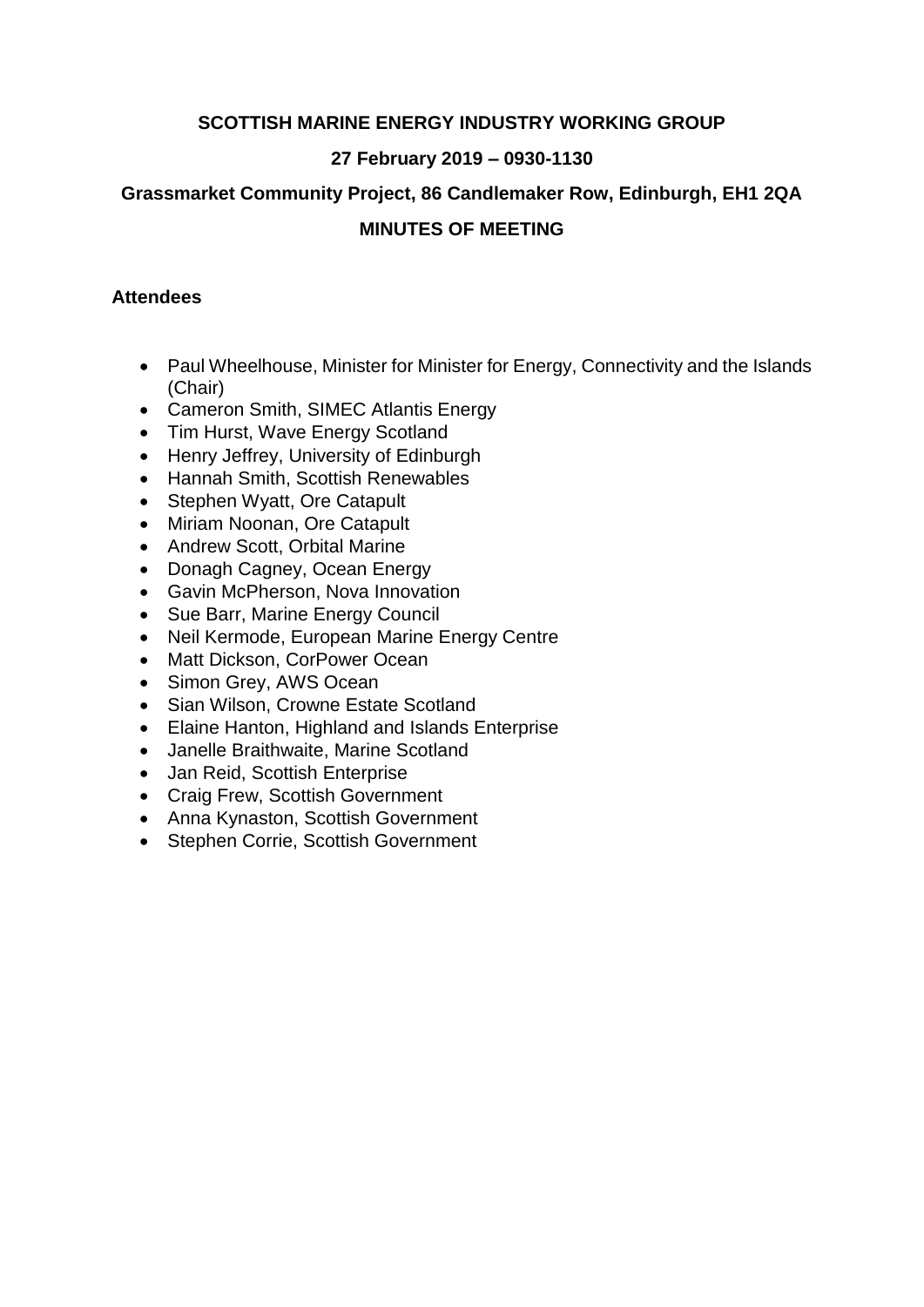### **SCOTTISH MARINE ENERGY INDUSTRY WORKING GROUP**

### **27 February 2019 – 0930-1130**

### **Grassmarket Community Project, 86 Candlemaker Row, Edinburgh, EH1 2QA**

## **MINUTES OF MEETING**

#### **Attendees**

- Paul Wheelhouse, Minister for Minister for Energy, Connectivity and the Islands (Chair)
- Cameron Smith, SIMEC Atlantis Energy
- Tim Hurst, Wave Energy Scotland
- Henry Jeffrey, University of Edinburgh
- Hannah Smith, Scottish Renewables
- Stephen Wyatt, Ore Catapult
- Miriam Noonan, Ore Catapult
- Andrew Scott, Orbital Marine
- Donagh Cagney, Ocean Energy
- Gavin McPherson, Nova Innovation
- Sue Barr, Marine Energy Council
- Neil Kermode, European Marine Energy Centre
- Matt Dickson, CorPower Ocean
- Simon Grey, AWS Ocean
- Sian Wilson, Crowne Estate Scotland
- Elaine Hanton, Highland and Islands Enterprise
- Janelle Braithwaite, Marine Scotland
- Jan Reid, Scottish Enterprise
- Craig Frew, Scottish Government
- Anna Kynaston, Scottish Government
- Stephen Corrie, Scottish Government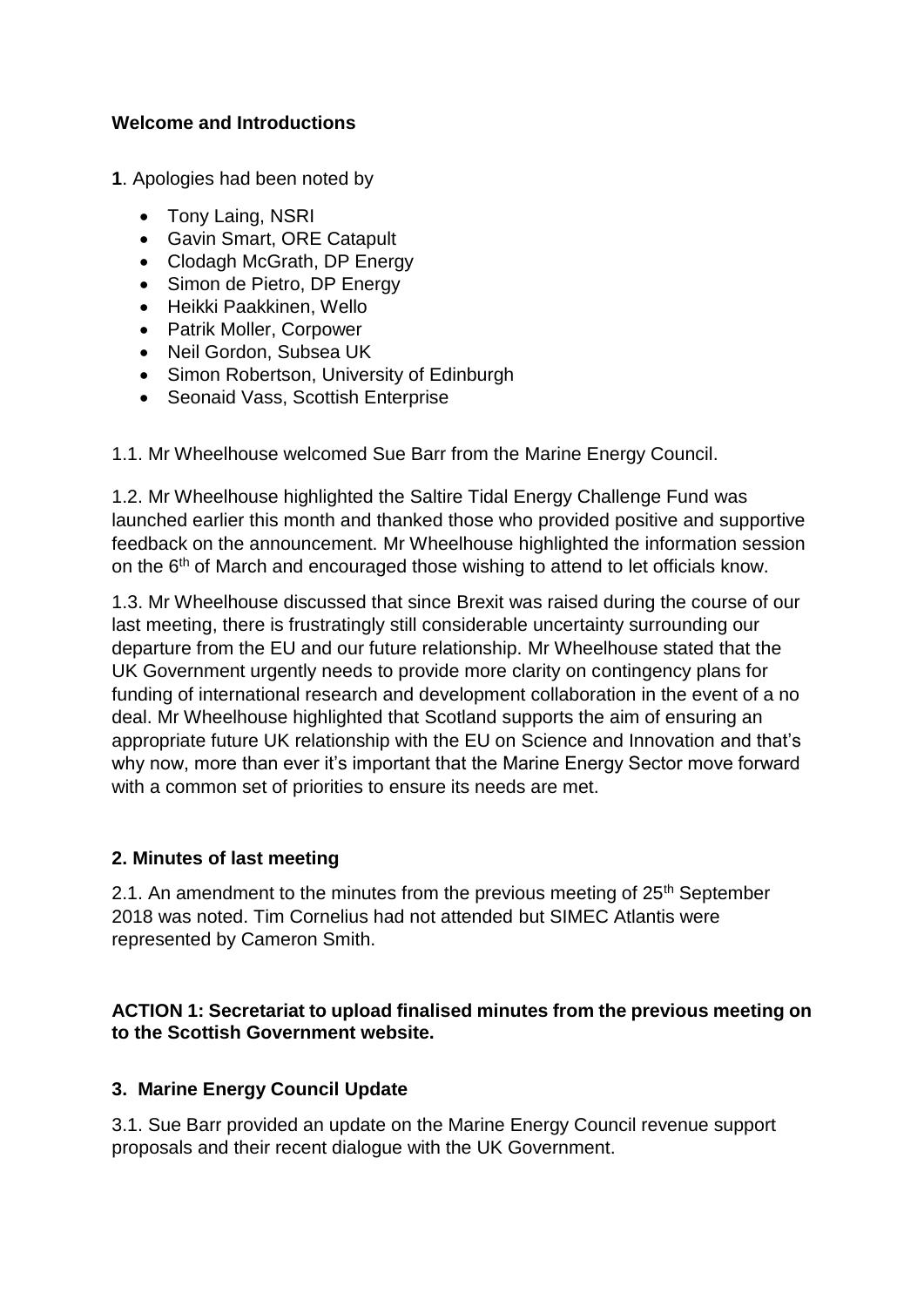### **Welcome and Introductions**

**1**. Apologies had been noted by

- Tony Laing, NSRI
- Gavin Smart, ORE Catapult
- Clodagh McGrath, DP Energy
- Simon de Pietro, DP Energy
- Heikki Paakkinen, Wello
- Patrik Moller, Corpower
- Neil Gordon, Subsea UK
- Simon Robertson, University of Edinburgh
- Seonaid Vass, Scottish Enterprise

1.1. Mr Wheelhouse welcomed Sue Barr from the Marine Energy Council.

1.2. Mr Wheelhouse highlighted the Saltire Tidal Energy Challenge Fund was launched earlier this month and thanked those who provided positive and supportive feedback on the announcement. Mr Wheelhouse highlighted the information session on the 6<sup>th</sup> of March and encouraged those wishing to attend to let officials know.

1.3. Mr Wheelhouse discussed that since Brexit was raised during the course of our last meeting, there is frustratingly still considerable uncertainty surrounding our departure from the EU and our future relationship. Mr Wheelhouse stated that the UK Government urgently needs to provide more clarity on contingency plans for funding of international research and development collaboration in the event of a no deal. Mr Wheelhouse highlighted that Scotland supports the aim of ensuring an appropriate future UK relationship with the EU on Science and Innovation and that's why now, more than ever it's important that the Marine Energy Sector move forward with a common set of priorities to ensure its needs are met.

## **2. Minutes of last meeting**

2.1. An amendment to the minutes from the previous meeting of  $25<sup>th</sup>$  September 2018 was noted. Tim Cornelius had not attended but SIMEC Atlantis were represented by Cameron Smith.

### **ACTION 1: Secretariat to upload finalised minutes from the previous meeting on to the Scottish Government website.**

## **3. Marine Energy Council Update**

3.1. Sue Barr provided an update on the Marine Energy Council revenue support proposals and their recent dialogue with the UK Government.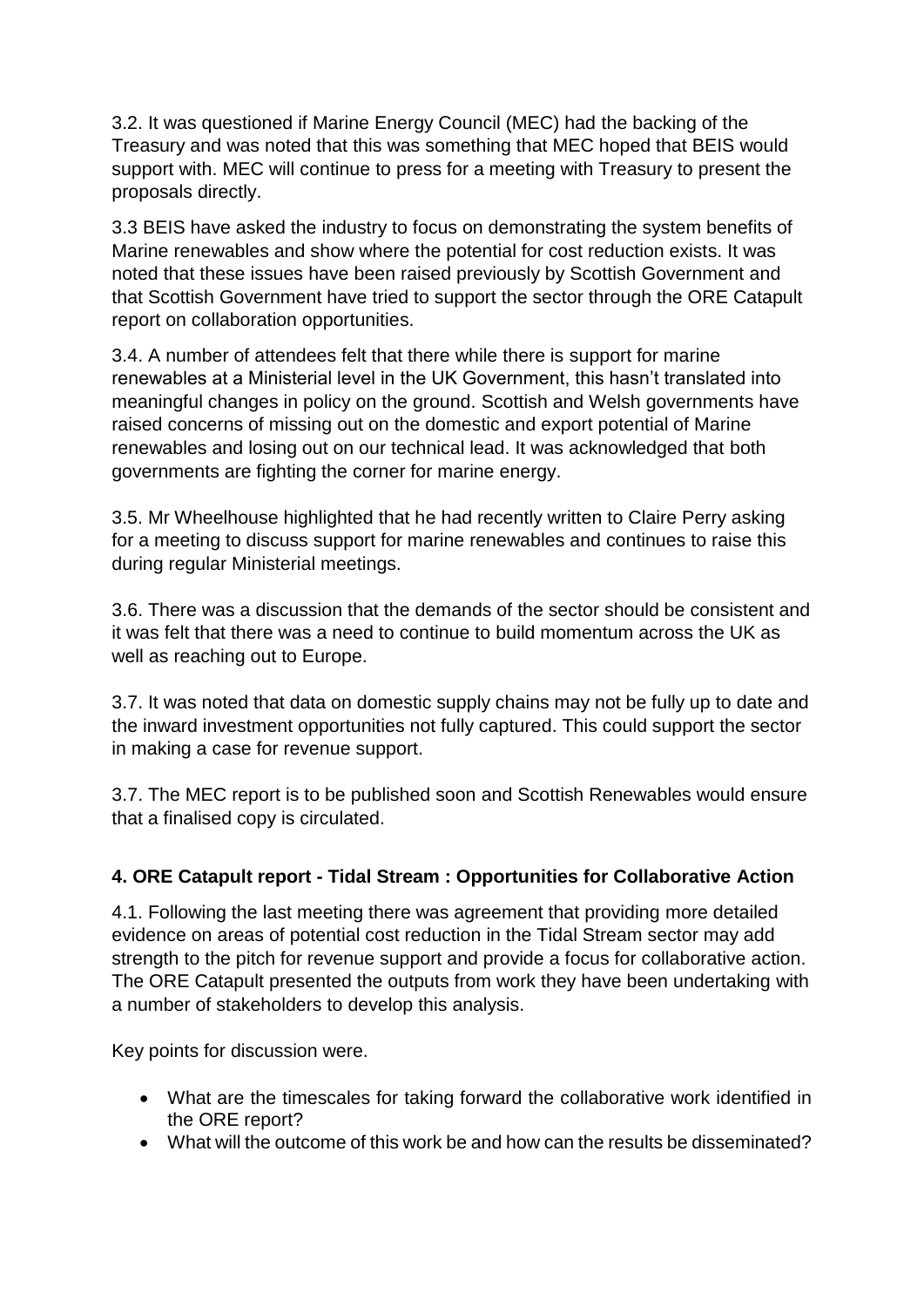3.2. It was questioned if Marine Energy Council (MEC) had the backing of the Treasury and was noted that this was something that MEC hoped that BEIS would support with. MEC will continue to press for a meeting with Treasury to present the proposals directly.

3.3 BEIS have asked the industry to focus on demonstrating the system benefits of Marine renewables and show where the potential for cost reduction exists. It was noted that these issues have been raised previously by Scottish Government and that Scottish Government have tried to support the sector through the ORE Catapult report on collaboration opportunities.

3.4. A number of attendees felt that there while there is support for marine renewables at a Ministerial level in the UK Government, this hasn't translated into meaningful changes in policy on the ground. Scottish and Welsh governments have raised concerns of missing out on the domestic and export potential of Marine renewables and losing out on our technical lead. It was acknowledged that both governments are fighting the corner for marine energy.

3.5. Mr Wheelhouse highlighted that he had recently written to Claire Perry asking for a meeting to discuss support for marine renewables and continues to raise this during regular Ministerial meetings.

3.6. There was a discussion that the demands of the sector should be consistent and it was felt that there was a need to continue to build momentum across the UK as well as reaching out to Europe.

3.7. It was noted that data on domestic supply chains may not be fully up to date and the inward investment opportunities not fully captured. This could support the sector in making a case for revenue support.

3.7. The MEC report is to be published soon and Scottish Renewables would ensure that a finalised copy is circulated.

# **4. ORE Catapult report - Tidal Stream : Opportunities for Collaborative Action**

4.1. Following the last meeting there was agreement that providing more detailed evidence on areas of potential cost reduction in the Tidal Stream sector may add strength to the pitch for revenue support and provide a focus for collaborative action. The ORE Catapult presented the outputs from work they have been undertaking with a number of stakeholders to develop this analysis.

Key points for discussion were.

- What are the timescales for taking forward the collaborative work identified in the ORE report?
- What will the outcome of this work be and how can the results be disseminated?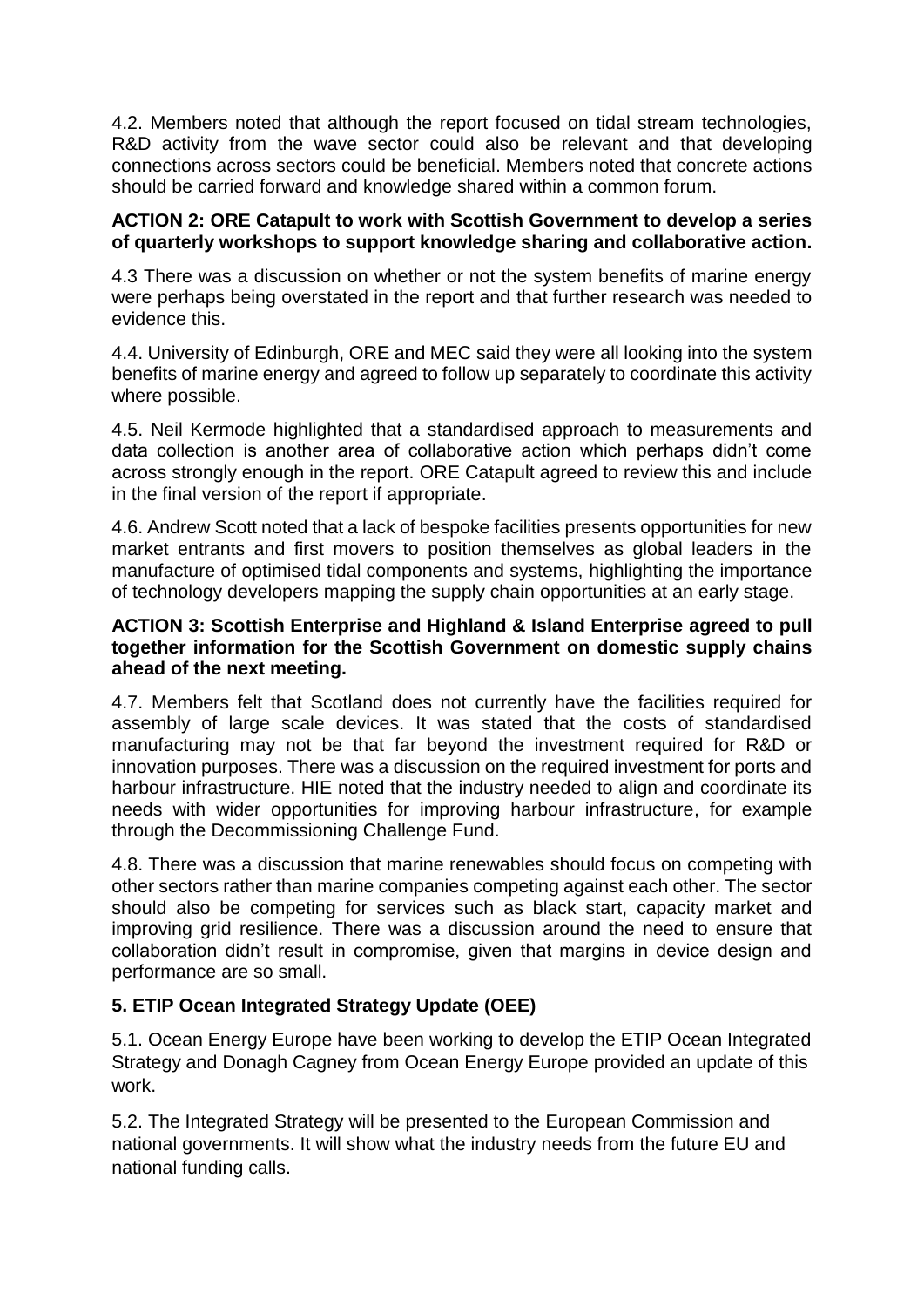4.2. Members noted that although the report focused on tidal stream technologies, R&D activity from the wave sector could also be relevant and that developing connections across sectors could be beneficial. Members noted that concrete actions should be carried forward and knowledge shared within a common forum.

#### **ACTION 2: ORE Catapult to work with Scottish Government to develop a series of quarterly workshops to support knowledge sharing and collaborative action.**

4.3 There was a discussion on whether or not the system benefits of marine energy were perhaps being overstated in the report and that further research was needed to evidence this.

4.4. University of Edinburgh, ORE and MEC said they were all looking into the system benefits of marine energy and agreed to follow up separately to coordinate this activity where possible.

4.5. Neil Kermode highlighted that a standardised approach to measurements and data collection is another area of collaborative action which perhaps didn't come across strongly enough in the report. ORE Catapult agreed to review this and include in the final version of the report if appropriate.

4.6. Andrew Scott noted that a lack of bespoke facilities presents opportunities for new market entrants and first movers to position themselves as global leaders in the manufacture of optimised tidal components and systems, highlighting the importance of technology developers mapping the supply chain opportunities at an early stage.

### **ACTION 3: Scottish Enterprise and Highland & Island Enterprise agreed to pull together information for the Scottish Government on domestic supply chains ahead of the next meeting.**

4.7. Members felt that Scotland does not currently have the facilities required for assembly of large scale devices. It was stated that the costs of standardised manufacturing may not be that far beyond the investment required for R&D or innovation purposes. There was a discussion on the required investment for ports and harbour infrastructure. HIE noted that the industry needed to align and coordinate its needs with wider opportunities for improving harbour infrastructure, for example through the Decommissioning Challenge Fund.

4.8. There was a discussion that marine renewables should focus on competing with other sectors rather than marine companies competing against each other. The sector should also be competing for services such as black start, capacity market and improving grid resilience. There was a discussion around the need to ensure that collaboration didn't result in compromise, given that margins in device design and performance are so small.

## **5. ETIP Ocean Integrated Strategy Update (OEE)**

5.1. Ocean Energy Europe have been working to develop the ETIP Ocean Integrated Strategy and Donagh Cagney from Ocean Energy Europe provided an update of this work.

5.2. The Integrated Strategy will be presented to the European Commission and national governments. It will show what the industry needs from the future EU and national funding calls.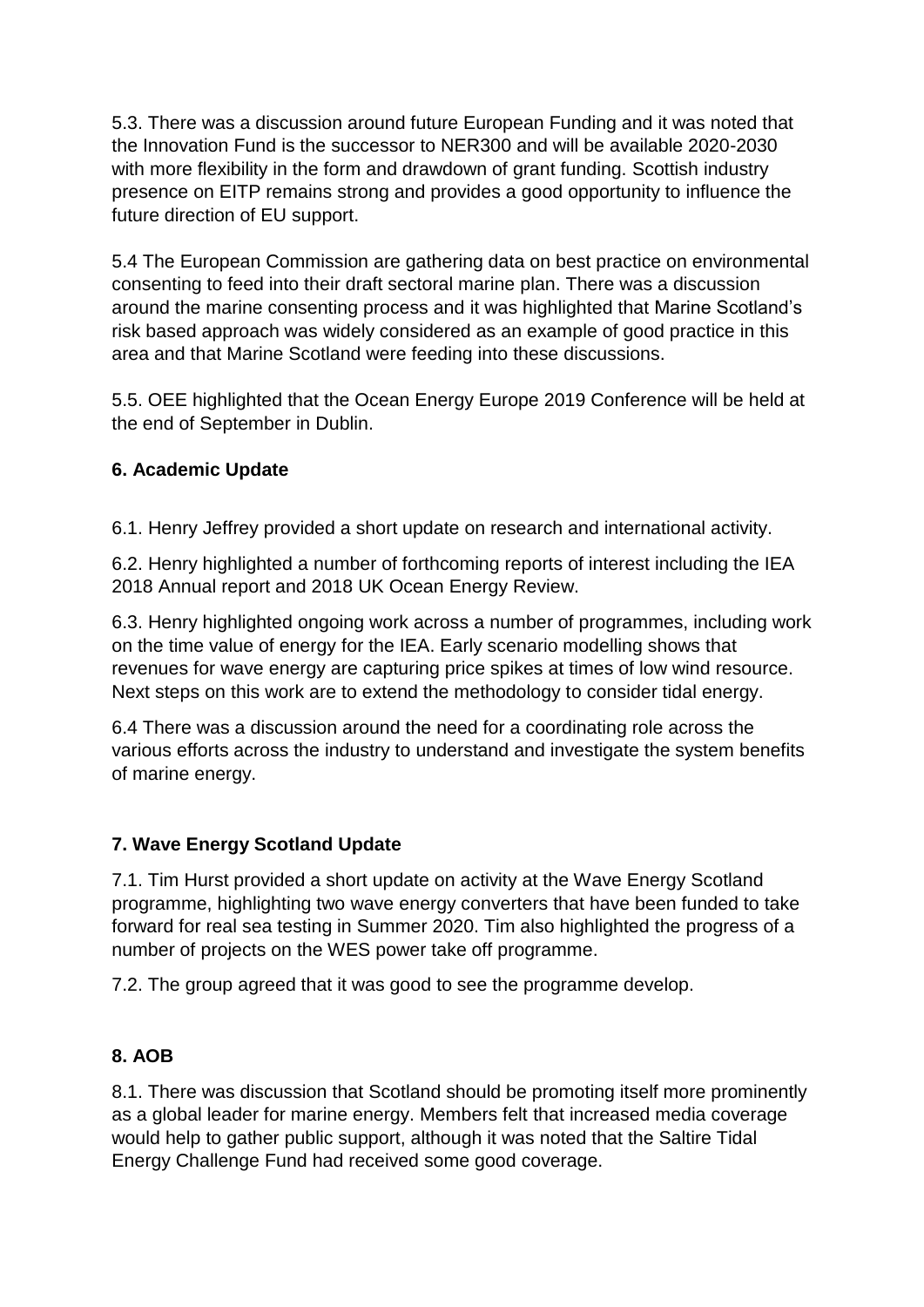5.3. There was a discussion around future European Funding and it was noted that the Innovation Fund is the successor to NER300 and will be available 2020-2030 with more flexibility in the form and drawdown of grant funding. Scottish industry presence on EITP remains strong and provides a good opportunity to influence the future direction of EU support.

5.4 The European Commission are gathering data on best practice on environmental consenting to feed into their draft sectoral marine plan. There was a discussion around the marine consenting process and it was highlighted that Marine Scotland's risk based approach was widely considered as an example of good practice in this area and that Marine Scotland were feeding into these discussions.

5.5. OEE highlighted that the Ocean Energy Europe 2019 Conference will be held at the end of September in Dublin.

# **6. Academic Update**

6.1. Henry Jeffrey provided a short update on research and international activity.

6.2. Henry highlighted a number of forthcoming reports of interest including the IEA 2018 Annual report and 2018 UK Ocean Energy Review.

6.3. Henry highlighted ongoing work across a number of programmes, including work on the time value of energy for the IEA. Early scenario modelling shows that revenues for wave energy are capturing price spikes at times of low wind resource. Next steps on this work are to extend the methodology to consider tidal energy.

6.4 There was a discussion around the need for a coordinating role across the various efforts across the industry to understand and investigate the system benefits of marine energy.

# **7. Wave Energy Scotland Update**

7.1. Tim Hurst provided a short update on activity at the Wave Energy Scotland programme, highlighting two wave energy converters that have been funded to take forward for real sea testing in Summer 2020. Tim also highlighted the progress of a number of projects on the WES power take off programme.

7.2. The group agreed that it was good to see the programme develop.

# **8. AOB**

8.1. There was discussion that Scotland should be promoting itself more prominently as a global leader for marine energy. Members felt that increased media coverage would help to gather public support, although it was noted that the Saltire Tidal Energy Challenge Fund had received some good coverage.